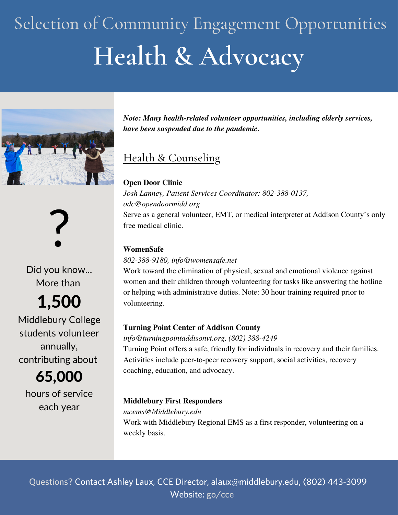# **Health & Advocacy** Selection of Community Engagement Opportunities





Did you know... More than

1,500

Middlebury College students volunteer annually, contributing about

65,000 hours of service each year

*Note: Many health-related volunteer opportunities, including elderly services, have been suspended due to the pandemic.*

### Health & Counseling

#### **Open Door Clinic**

*Josh Lanney, Patient Services Coordinator: 802-388-0137, odc@opendoormidd.org* Serve as a general volunteer, EMT, or medical interpreter at Addison County's only free medical clinic.

#### **WomenSafe**

*802-388-9180, info@womensafe.net*

Work toward the elimination of physical, sexual and emotional violence against women and their children through volunteering for tasks like answering the hotline or helping with administrative duties. Note: 30 hour training required prior to volunteering.

#### **Turning Point Center of Addison County**

*info@turningpointaddisonvt.org, (802) 388-4249* Turning Point offers a safe, friendly for individuals in recovery and their families. Activities include peer-to-peer recovery support, social activities, recovery coaching, education, and advocacy.

#### **Middlebury First Responders**

*mcems@Middlebury.edu* Work with Middlebury Regional EMS as a first responder, volunteering on a weekly basis.

Questions? Contact Ashley Laux, CCE Director, alaux@middlebury.edu, (802) 443-3099 Website: go/cce